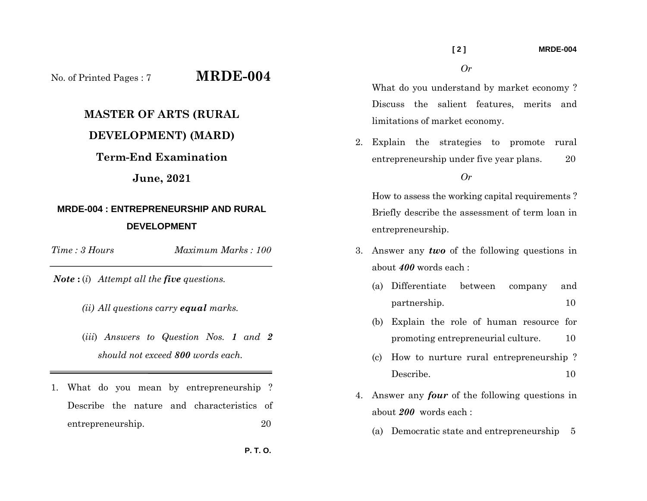No. of Printed Pages : 7 **MRDE-004**

## **MASTER OF ARTS (RURAL**

## **DEVELOPMENT) (MARD)**

### **Term-End Examination**

### **June, 2021**

# **MRDE-004 : ENTREPRENEURSHIP AND RURAL DEVELOPMENT**

*Time : 3 Hours*

*Maximum Marks : 100* 

*Note* **:** (*i*) *Attempt all the five questions.* 

- *(ii) All questions carry equal marks.*
- (*iii*) *Answers to Question Nos. 1 and 2 should not exceed 800 words each.*
- 1. What do you mean by entrepreneurship ? Describe the nature and characteristics of entrepreneurship. 20

What do you understand by market economy ? Discuss the salient features, merits and limitations of market economy.

2. Explain the strategies to promote rural entrepreneurship under five year plans. 20

*Or* 

How to assess the working capital requirements ? Briefly describe the assessment of term loan in entrepreneurship.

- 3. Answer any *two* of the following questions in about *400* words each :
	- (a) Differentiate between company and partnership. 10
	- (b) Explain the role of human resource for promoting entrepreneurial culture. 10
	- (c) How to nurture rural entrepreneurship ? Describe. 10
- 4. Answer any *four* of the following questions in about *200* words each :
	- (a) Democratic state and entrepreneurship 5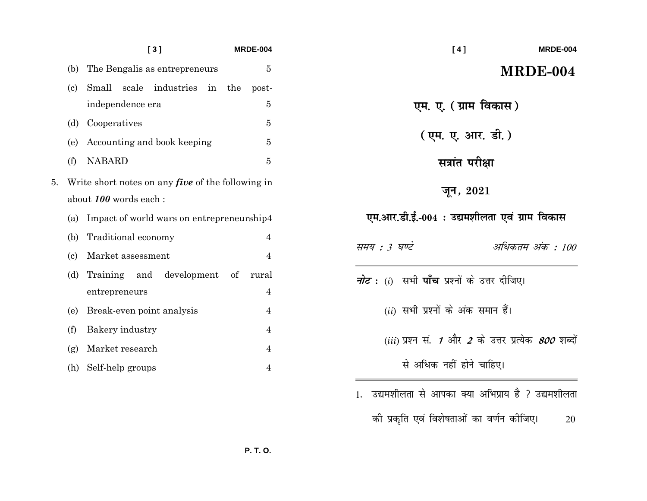|    |                                                          | [3]                                       |            |    | <b>MRDE-004</b> |                          |
|----|----------------------------------------------------------|-------------------------------------------|------------|----|-----------------|--------------------------|
|    | (b)                                                      | The Bengalis as entrepreneurs             |            |    |                 | 5                        |
|    | $\left( \text{c} \right)$                                | Small<br>scale                            | industries | in | the             | post-                    |
|    |                                                          | independence era                          |            |    |                 | 5                        |
|    | (d)                                                      | Cooperatives                              |            |    |                 | 5                        |
|    | (e)                                                      | Accounting and book keeping               |            |    |                 | 5                        |
|    | (f)                                                      | <b>NABARD</b>                             |            |    |                 | 5                        |
| 5. | Write short notes on any <i>five</i> of the following in |                                           |            |    |                 |                          |
|    | about 100 words each :                                   |                                           |            |    |                 |                          |
|    | (a)                                                      | Impact of world wars on entrepreneurship4 |            |    |                 |                          |
|    |                                                          | Traditional economy                       |            |    |                 |                          |
|    | (b)                                                      |                                           |            |    |                 | 4                        |
|    | (c)                                                      | Market assessment                         |            |    |                 | $\overline{4}$           |
|    | (d)                                                      | Training and development of               |            |    |                 | rural                    |
|    |                                                          | entrepreneurs                             |            |    |                 | 4                        |
|    | (e)                                                      | Break-even point analysis                 |            |    |                 | $\overline{4}$           |
|    | (f)                                                      | Bakery industry                           |            |    |                 | $\overline{\mathcal{A}}$ |
|    | (g)                                                      | Market research                           |            |    |                 | $\overline{4}$           |

| [4]<br><b>MRDE-004</b>                                         |  |  |  |  |  |  |
|----------------------------------------------------------------|--|--|--|--|--|--|
| MRDE-004                                                       |  |  |  |  |  |  |
| एम. ए. ( ग्राम विकास )                                         |  |  |  |  |  |  |
| (एम. ए. आर. डी. )                                              |  |  |  |  |  |  |
| सत्रांत परीक्षा                                                |  |  |  |  |  |  |
| जून <i>,</i> $2021$                                            |  |  |  |  |  |  |
| एम.आर.डी.ई.-004 : उद्यमशीलता एवं ग्राम विकास                   |  |  |  |  |  |  |
| समय : 3 घण्टे<br>अधिकतम अंक : 100                              |  |  |  |  |  |  |
| <i>नोट</i> : ( $i$ )  सभी <b>पाँच</b> प्रश्नों के उत्तर दीजिए। |  |  |  |  |  |  |
| $(ii)$ सभी प्रश्नों के अंक समान हैं।                           |  |  |  |  |  |  |
| (iii) प्रश्न सं. 1 और 2 के उत्तर प्रत्येक <i>800</i> शब्दों    |  |  |  |  |  |  |
| से अधिक नहीं होने चाहिए।                                       |  |  |  |  |  |  |
| ्उद्यमशीलता से आपका क्या अभिप्राय है ? उद्यमशीलता<br>1.        |  |  |  |  |  |  |
| की प्रकृति एवं विशेषताओं का वर्णन कीजिए।<br>20                 |  |  |  |  |  |  |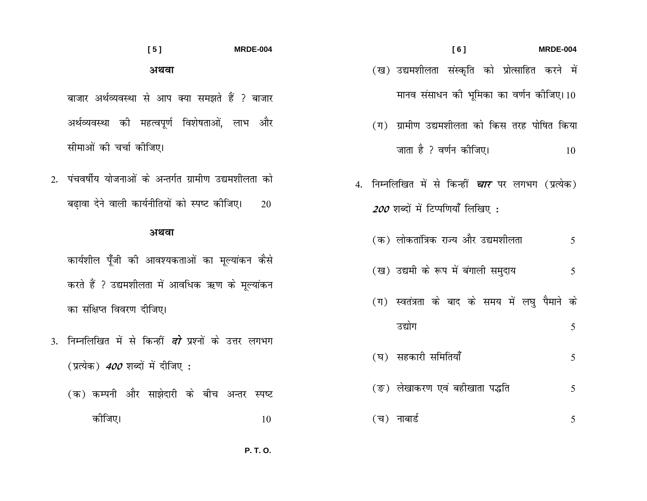- $[6]$ **MRDE-004**
- (ख) उद्यमशीलता संस्कृति को प्रोत्साहित करने में मानव संसाधन की भूमिका का वर्णन कोजिए। 10
- (ग) ग्रामीण उद्यमशीलता को किस तरह पोषित किया जाता है ? वर्णन कीजिए।  $10$
- 4. निम्नलिखित में से किन्हीं *चार* पर लगभग (प्रत्येक) 200 शब्दों में टिप्पणियाँ लिखिए:
	- (क) लोकतांत्रिक राज्य और उद्यमशीलता 5
	- (ख) उद्यमी के रूप में बंगाली समुदाय 5
	- (ग) स्वतंत्रता के बाद के समय में लघु पैमाने के
		- उद्योग 5
	- (घ) सहकारी समितियाँ 5
	- (ङ) लेखाकरण एवं बहीखाता पद्धति 5
	- (च) नाबार्ड 5

### $[5]$ **MRDE-004** अथवा

- बाजार अर्थव्यवस्था से आप क्या समझते हैं ? बाजार अर्थव्यवस्था की महत्वपूर्ण विशेषताओं, लाभ और सीमाओं की चर्चा कीजिए।
- 2. पंचवर्षीय योजनाओं के अन्तर्गत ग्रामीण उद्यमशीलता को बढावा देने वाली कार्यनीतियों को स्पष्ट कीजिए। 20

### अथवा

कार्यशील पूँजी की आवश्यकताओं का मूल्यांकन कैसे करते हैं ? उद्यमशीलता में आवधिक ऋण के मूल्यांकन का संक्षिप्त विवरण दीजिए।

- 3. निम्नलिखित में से किन्हीं *दो* प्रश्नों के उत्तर लगभग (प्रत्येक) *400* शब्दों में दीजिए :
	- (क) कम्पनी और साझेदारी के बीच अन्तर स्पष्ट कोजिए। 10